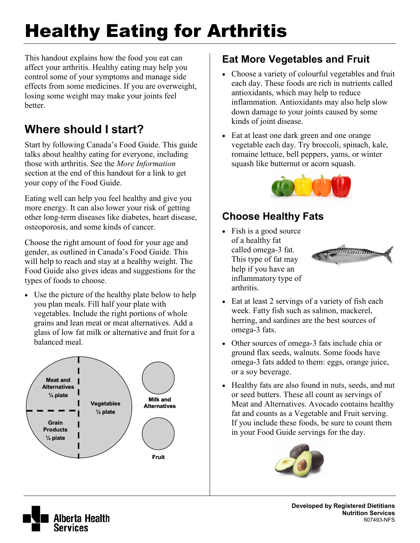# Healthy Eating for Arthritis

This handout explains how the food you eat can affect your arthritis. Healthy eating may help you control some of your symptoms and manage side effects from some medicines. If you are overweight, losing some weight may make your joints feel **better** 

### **Where should I start?**

Start by following Canada's Food Guide. This guide talks about healthy eating for everyone, including those with arthritis. See the *More Information* section at the end of this handout for a link to get your copy of the Food Guide.

Eating well can help you feel healthy and give you more energy. It can also lower your risk of getting other long-term diseases like diabetes, heart disease, osteoporosis, and some kinds of cancer.

Choose the right amount of food for your age and gender, as outlined in Canada's Food Guide. This will help to reach and stay at a healthy weight. The Food Guide also gives ideas and suggestions for the types of foods to choose.

• Use the picture of the healthy plate below to help you plan meals. Fill half your plate with vegetables. Include the right portions of whole grains and lean meat or meat alternatives. Add a glass of low fat milk or alternative and fruit for a balanced meal.



#### **Eat More Vegetables and Fruit**

- Choose a variety of colourful vegetables and fruit each day. These foods are rich in nutrients called antioxidants, which may help to reduce inflammation. Antioxidants may also help slow down damage to your joints caused by some kinds of joint disease.
- Eat at least one dark green and one orange vegetable each day. Try broccoli, spinach, kale, romaine lettuce, bell peppers, yams, or winter squash like butternut or acorn squash.



#### **Choose Healthy Fats**

• Fish is a good source of a healthy fat called omega-3 fat. This type of fat may help if you have an inflammatory type of arthritis.



- Eat at least 2 servings of a variety of fish each week. Fatty fish such as salmon, mackerel, herring, and sardines are the best sources of omega-3 fats.
- Other sources of omega-3 fats include chia or ground flax seeds, walnuts. Some foods have omega-3 fats added to them: eggs, orange juice, or a soy beverage.
- Healthy fats are also found in nuts, seeds, and nut or seed butters. These all count as servings of Meat and Alternatives. Avocado contains healthy fat and counts as a Vegetable and Fruit serving. If you include these foods, be sure to count them in your Food Guide servings for the day.